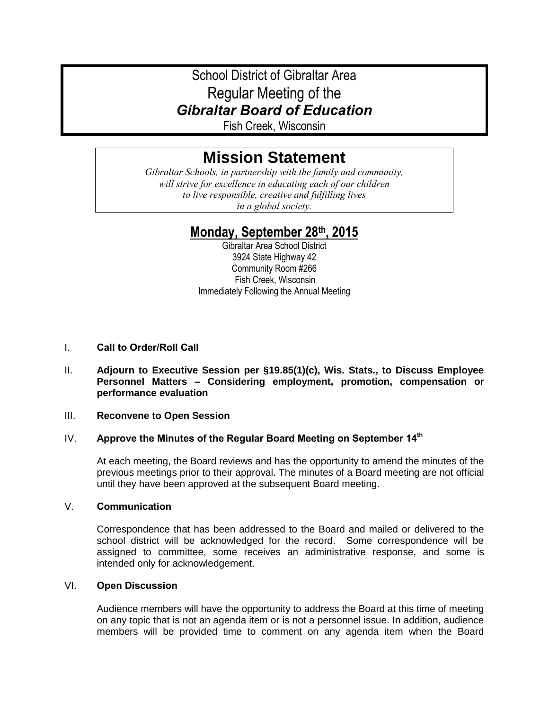# School District of Gibraltar Area Regular Meeting of the *Gibraltar Board of Education*

Fish Creek, Wisconsin

# **Mission Statement**

*Gibraltar Schools, in partnership with the family and community, will strive for excellence in educating each of our children to live responsible, creative and fulfilling lives in a global society.*

# **Monday, September 28th, 2015**

Gibraltar Area School District 3924 State Highway 42 Community Room #266 Fish Creek, Wisconsin Immediately Following the Annual Meeting

# I. **Call to Order/Roll Call**

II. **Adjourn to Executive Session per §19.85(1)(c), Wis. Stats., to Discuss Employee Personnel Matters – Considering employment, promotion, compensation or performance evaluation**

#### III. **Reconvene to Open Session**

# IV. **Approve the Minutes of the Regular Board Meeting on September 14th**

At each meeting, the Board reviews and has the opportunity to amend the minutes of the previous meetings prior to their approval. The minutes of a Board meeting are not official until they have been approved at the subsequent Board meeting.

# V. **Communication**

Correspondence that has been addressed to the Board and mailed or delivered to the school district will be acknowledged for the record. Some correspondence will be assigned to committee, some receives an administrative response, and some is intended only for acknowledgement.

#### VI. **Open Discussion**

Audience members will have the opportunity to address the Board at this time of meeting on any topic that is not an agenda item or is not a personnel issue. In addition, audience members will be provided time to comment on any agenda item when the Board